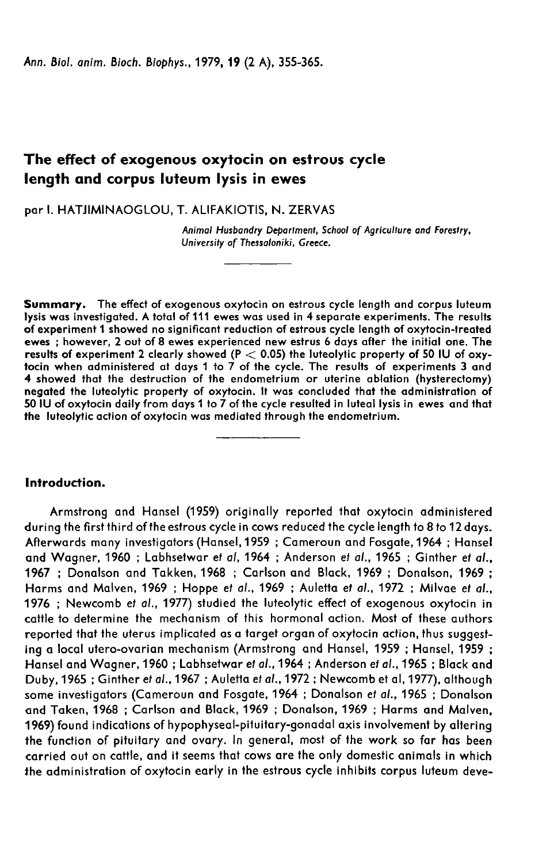# The effect of exogenous oxytocin on estrous cycle length and corpus luteum lysis in ewes

par I. HATJIMINAOGLOU, T. ALIFAKIOTIS, N. ZERVAS

Animal Husbandry Department, School of Agriculture and Forestry, University of Thessaloniki, Greece.

Summary. The effect of exogenous oxytocin on estrous cycle length and corpus luteum lysis was investigated. A total of 111 ewes was used in 4 separate experiments. The results ewes; however, 2 out of 8 ewes experienced new estrus 6 days after the initial one. The results of experiment 2 clearly showed  $(P < 0.05)$  the luteolytic property of 50 IU of oxytocin when administered at days 1 to 7 of the cycle. The results of experiments 3 and 4 showed that the destruction of the endometrium or uterine ablation (hysterectomy) negated the luteolytic property of oxytocin. It was concluded that the administration of 50 IU of oxytocin daily from days 1 to 7 of the cycle resulted in luteal lysis in ewes and that the luteolytic action of oxytocin was mediated through the endometrium.

# Introduction.

Armstrong and Hansel (1959) originally reported that oxytocin administered during the first third of the estrous cycle in cows reduced the cycle length to 8 to 12 days. Afterwards many investigators (Hansel,1959 ; Cameroun and Fosgate, 1964 ; Hansel and Wagner, 1960 ; Labhsetwar et al, 1964 ; Anderson et al., 1965 ; Ginther et al., 1967 ; Donalson and Takken, 1968 ; Carlson and Black, 1969 ; Donalson, 1969 ; Harms and Malven, 1969 ; Hoppe et al., 1969 ; Auletta et al., 1972 ; Milvae et al., 1976 ; Newcomb et a/., 1977) studied the luteolytic effect of exogenous oxytocin in cattle to determine the mechanism of this hormonal action. Most of these authors reported that the uterus implicated as a target organ of oxytocin action, thus suggesting a local utero-ovarian mechanism (Armstrong and Hansel, 1959 ; Hansel, 1959 ; Hansel and Wagner, 1960 ; Labhsetwar et al., 1964 ; Anderson et al., 1965 ; Black and Duby, 1965 ; Ginther et al., 1967 ; Auletta et al., 1972 ; Newcomb et al, 1977), although some investigators (Cameroun and Fosgate, 1964 ; Donalson et al., 1965 ; Donalson and Taken, 1968 ; Carlson and Black, 1969 ; Donalson, 1969 ; Harms and Malven, 1969) found indications of hypophyseal-pituitary-gonadal axis involvement by altering the function of pituitary and ovary. In general, most of the work so far has been carried out on cattle, and it seems that cows are the only domestic animals in which the administration of oxytocin early in the estrous cycle inhibits corpus luteum deve-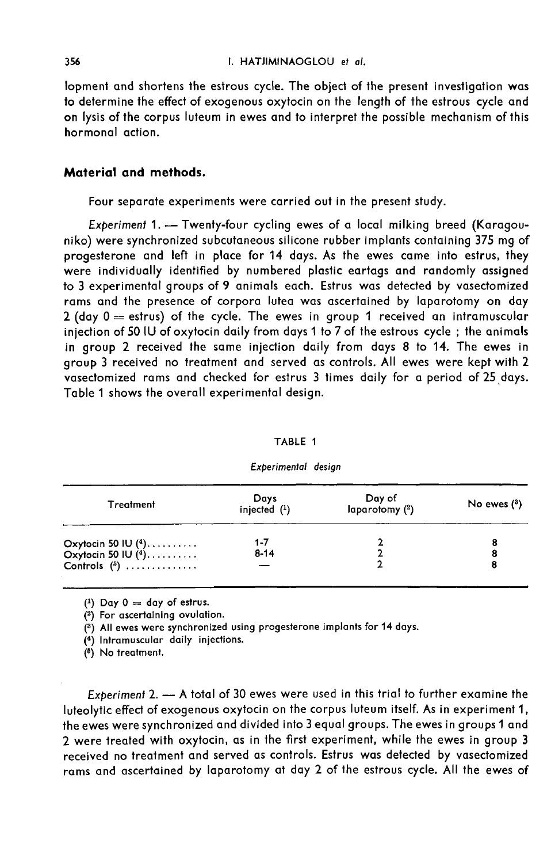lopment and shortens the estrous cycle. The object of the present investigation was to determine the effect of exogenous oxytocin on the length of the estrous cycle and on lysis of the corpus luteum in ewes and to interpret the possible mechanism of this hormonal action.

# Material and methods.

Four separate experiments were carried out in the present study.

Experiment 1. - Twenty-four cycling ewes of a local milking breed (Karagouniko) were synchronized subcutaneous silicone rubber implants containing 375 mg of progesterone and left in place for 14 days. As the ewes came into estrus, they were individually identified by numbered plastic eartags and randomly assigned to 3 experimental groups of 9 animals each. Estrus was detected by vasectomized rams and the presence of corpora lutea was ascertained by laparotomy on day 2 (day  $0 =$  estrus) of the cycle. The ewes in group 1 received an intramuscular injection of 50 IU of oxytocin daily from days 1 to 7 of the estrous cycle ; the animals in group 2 received the same injection daily from days 8 to 14. The ewes in group 3 received no treatment and served as controls. All ewes were kept with 2 vasectomized rams and checked for estrus 3 times daily for a period of 25 days. Table 1 shows the overall experimental design.

#### TABLE 1

| Treatment                                    | Days<br>injected $(1)$ | Day of<br>laparotomy (2) | No ewes $(3)$ |
|----------------------------------------------|------------------------|--------------------------|---------------|
|                                              | 1-7                    |                          |               |
| Oxytocin 50 IU $(4)$<br>Oxytocin 50 IU $(4)$ | $8 - 14$               |                          | 8             |
| Controls $\binom{5}{2}$                      |                        |                          |               |

### Experimental design

 $(1)$  Day 0 = day of estrus.

(2) For ascertaining ovulation.

(3) All ewes were synchronized using progesterone implants for 14 days.

(4) Intramuscular daily injections.

(5) No treatment.

Experiment 2.  $-$  A total of 30 ewes were used in this trial to further examine the luteolytic effect of exogenous oxytocin on the corpus luteum itself. As in experiment 1, the ewes were synchronized and divided into 3 equal groups. The ewes in groups 1 and 2 were treated with oxytocin, as in the first experiment, while the ewes in group 3 received no treatment and served as controls. Estrus was detected by vasectomized rams and ascertained by laparotomy at day 2 of the estrous cycle. All the ewes of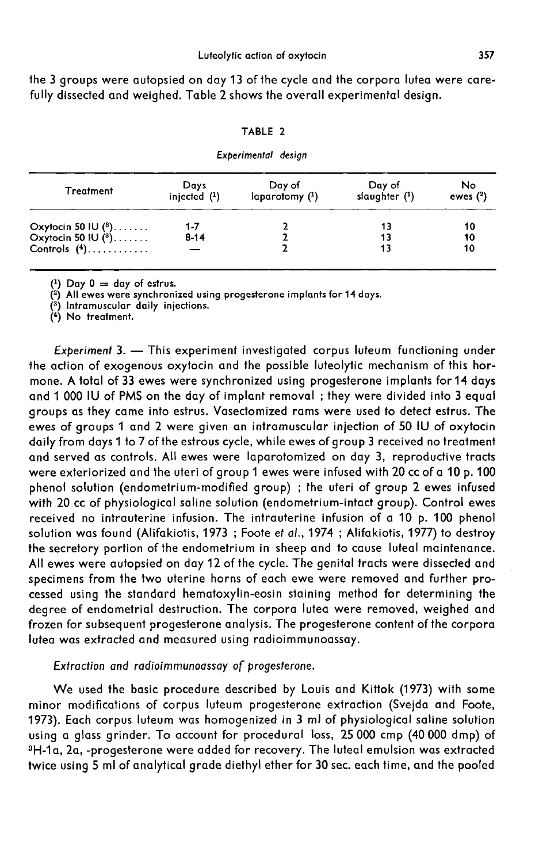the 3 groups were autopsied on day 13 of the cycle and the corpora lutea were carefully dissected and weighed. Table 2 shows the overall experimental design.

### TABLE 2

#### Experimental desian

| <b>Treatment</b>                               | Days<br>injected $(1)$ | Day of<br>laparotomy (1) | Day of<br>slaughter $(1)$ | No<br>ewes $(2)$ |
|------------------------------------------------|------------------------|--------------------------|---------------------------|------------------|
|                                                | $1 - 7$                |                          |                           | 10               |
| Oxytocin 50 IU $(^3)$<br>Oxytocin 50 IU $(^3)$ | $8 - 14$               |                          | 13                        | 10               |
| Controls $(4)$                                 |                        |                          | 13                        | 10               |

 $(1)$  Day  $0 = day$  of estrus.

(2) All ewes were synchronized using progesterone implants for 14 days.

(<sup>3</sup>) Intramuscular daily injections.

 $(4)$  No treatment.

Experiment 3. - This experiment investigated corpus luteum functioning under the action of exogenous oxytocin and the possible luteolytic mechanism of this hormone. A total of 33 ewes were synchronized using progesterone implants for 14 days and 1 000 IU of PMS on the day of implant removal ; they were divided into 3 equal groups as they came into estrus. Vasectomized rams were used to detect estrus. The ewes of groups 1 and 2 were given an intramuscular injection of 50 IU of oxytocin daily from days 1 to 7 of the estrous cycle, while ewes of group 3 received no treatment and served as controls. All ewes were laparotomized on day 3, reproductive tracts were exteriorized and the uteri of group 1 ewes were infused with 20 cc of a 10 p. 100 phenol solution (endometrium-modified group) ; the uteri of group 2 ewes infused with 20 cc of physiological saline solution (endometrium-intact group). Control ewes received no intrauterine infusion. The intrauterine infusion of a 10 p. 100 phenol solution was found (Alifakiotis, 1973 ; Foote et al., 1974 ; Alifakiotis, 1977) to destroy the secretory portion of the endometrium in sheep and to cause luteal maintenance. All ewes were autopsied on day 12 of the cycle. The genital tracts were dissected and specimens from the two uterine horns of each ewe were removed and further processed using the standard hematoxylin-eosin staining method for determining the degree of endometrial destruction. The corpora lutea were removed, weighed and frozen for subsequent progesterone analysis. The progesterone content of the corpora lutea was extracted and measured using radioimmunoassay.

### Extraction and radioimmunoassay of progesterone.

We used the basic procedure described by Louis and Kittok (1973) with some minor modifications of corpus luteum progesterone extraction (Svejda and Foote, 1973). Each corpus luteum was homogenized in 3 ml of physiological saline solution<br>using a glass grinder. To account for procedural loss, 25 000 cmp (40 000 dmp) of<br>3H-1a, 2a, -progesterone were added for recovery. The lut using a glass grinder. To account for procedural loss, 25 000 cmp (40 000 dmp) of<br>3H-1a, 2a, -progesterone were added for recovery. The luteal emulsion was extracted twice using 5 ml of analytical grade diethyl ether for 30 sec. each time, and the pooled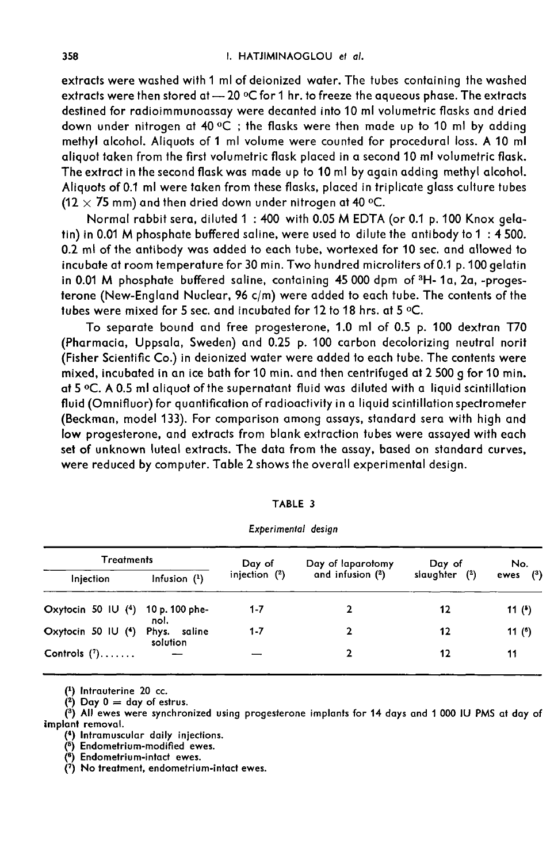extracts were washed with 1 ml of deionized water. The tubes containing the washed extracts were then stored at — 20 °C for 1 hr. to freeze the aqueous phase. The extracts destined for radioimmunoassay were decanted into 10 ml volumetric flasks and dried down under nitrogen at 40 °C ; the flasks were then made up to 10 ml by adding methyl alcohol. Aliquots of 1 ml volume were counted for procedural loss. A 10 ml aliquot taken from the first volumetric flask placed in a second 10 ml volumetric flask. The extract in the second flask was made up to 10 ml by again adding methyl alcohol. Aliquots of 0.1 ml were taken from these flasks, placed in triplicate glass culture tubes (12  $\times$  75 mm) and then dried down under nitrogen at 40 °C.

Normal rabbit sera, diluted 1 : 400 with 0.05 M EDTA (or 0.1 p. 100 Knox gelatin) in 0.01 M phosphate buffered saline, were used to dilute the antibody to 1 : 4 500. 0.2 mi of the antibody was added to each tube, wortexed for 10 sec. and allowed to incubate at room temperature for 30 min. Two hundred microliters of 0.1 p. 100 gelatin in 0.01 M phosphate buffered saline, containing 45 000 dpm of <sup>3</sup>H- 1a, 2a, -progesterone (New-England Nuclear, 96 c/m) were added to each tube. The contents of the tubes were mixed for 5 sec. and incubated for 12 to 18 hrs. at 5 °C.

To separate bound and free progesterone, 1.0 ml of 0.5 p. 100 dextran T70 (Pharmacia, Uppsala, Sweden) and 0.25 p. 100 carbon decolorizing neutral norit (Fisher Scientific Co.) in deionized water were added to each tube. The contents were mixed, incubated in an ice bath for 10 min. and then centrifuged at 2 500 g for 10 min. at 5 °C. A 0.5 ml aliquot of the supernatant fluid was diluted with a liquid scintillation fluid (Omnifluor) for quantification of radioactivity in a liquid scintillation spectrometer (Beckman, model 133). For comparison among assays, standard sera with high and low progesterone, and extracts from blank extraction tubes were assayed with each set of unknown luteal extracts. The data from the assay, based on standard curves, were reduced by computer. Table 2 shows the overall experimental design.

| Treatments                        |                          | Day of          | Day of laparotomy     | Day of        | No.        |
|-----------------------------------|--------------------------|-----------------|-----------------------|---------------|------------|
| Injection                         | Infusion $(1)$           | injection $(2)$ | and infusion $(^{2})$ | slaughter (2) | ewes $(3)$ |
| Oxytocin 50 IU (4) 10 p. 100 phe- | nol.                     | 1-7             |                       | 12            | 11 $(5)$   |
| Oxytocin 50 IU (4)                | Phys. saline<br>solution | $1 - 7$         | 2                     | 12            | 11 (6)     |
| Controls $(?) \ldots \ldots$      |                          |                 | 2                     | 12            | 11         |
|                                   |                          |                 |                       |               |            |

| <b>TABLE 3</b>      |  |
|---------------------|--|
| Experimental desian |  |

 $(1)$  Intrauterine 20 cc.

 $(2)$  Day 0 = day of estrus.

(3) All ewes were synchronized using progesterone implants for 14 days and 1 000 IU PMS at day of implant removal.

(4) Intramuscular daily injections.

<sup>(5)</sup> Endometrium-modified ewes.

(6) Endometrium-intact ewes.

 $(7)$  No treatment, endometrium-intact ewes.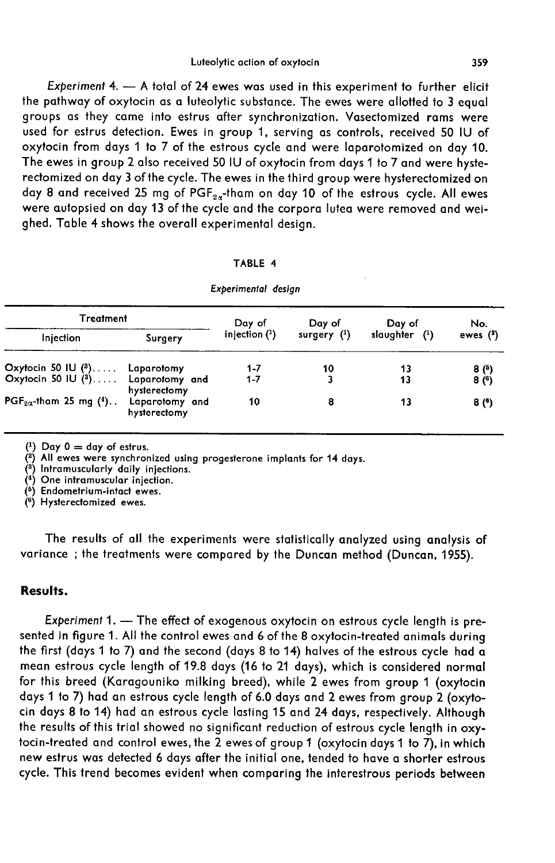### Luteolytic action of oxytocin

Experiment 4.  $-$  A total of 24 ewes was used in this experiment to further elicit the pathway of oxytocin as a luteolytic substance. The ewes were allotted to 3 equal groups as they came into estrus after synchronization. Vasectomized rams were used for estrus detection. Ewes in group 1, serving as controls, received 50 IU of oxytocin from days 1 to 7 of the estrous cycle and were laparotomized on day 10. The ewes in group 2 also received 50 IU of oxytocin from days 1 to 7 and were hysterectomized on day 3 of the cycle. The ewes in the third group were hysterectomized on groups us mey cume mo estrus different synchronization. Vasecionized rams were<br>used for estrus detection. Ewes in group 1, serving as controls, received 50 IU of<br>oxytocin from days 1 to 7 of the estrous cycle and were lap were autopsied on day 13 of the cycle and the corpora lutea were removed and weighed. Table 4 shows the overall experimental design.

| TABLE 4             |  |
|---------------------|--|
| Experimental desian |  |

| Treatment                                          |                                | Day of          | Day of        | Day of          | No.        |
|----------------------------------------------------|--------------------------------|-----------------|---------------|-----------------|------------|
| Injection                                          | Surgery                        | injection $(1)$ | surgery $(1)$ | slavghter $(1)$ | ewes $(2)$ |
| Oxytocin 50 IU (3) Laparotomy                      |                                | $1 - 7$         | 10            | 13              | 8 (5)      |
| Oxytocin 50 IU (3) Laparotomy and                  | hysterectomy                   | $1 - 7$         | 3             | 13              | 8(6)       |
| PGF <sub>2<math>\alpha</math>-tham 25 mg (4)</sub> | Laparotomy and<br>hysterectomy | 10              | 8             | 13              | 8(6)       |

 $(1)$  Day  $0 = day$  of estrus.

(2) All ewes were synchronized using progesterone implants for 14 days.

(3) Intramuscularly daily injections.

(4) One intramuscular injection.

(<sup>5</sup>) Endometrium-intact ewes.

 $(6)$  Hysterectomized ewes.

The results of all the experiments were statistically analyzed using analysis of variance ; the treatments were compared by the Duncan method (Duncan, 1955).

## Results.

Experiment  $1. -$  The effect of exogenous oxytocin on estrous cycle length is presented in figure 1. All the control ewes and 6 of the 8 oxytocin-treated animals during the first (days 1 to 7) and the second (days 8 to 14) halves of the estrous cycle had a mean estrous cycle length of 19.8 days (16 to 21 days), which is considered normal for this breed (Karagouniko milking breed), while 2 ewes from group 1 (oxytocin days 1 to 7) had an estrous cycle length of 6.0 days and 2 ewes from group 2 (oxytocin days 8 to 14) had an estrous cycle lasting 15 and 24 days, respectively. Although the results of this trial showed no significant reduction of estrous cycle length in oxytocin-treated and control ewes, the  $\frac{3}{2}$  ewes of group 1 (oxytocin days 1 to  $\overline{7}$ ), in which new estrus was detected 6 days after the initial one, tended to have a shorter estrous cycle. This trend becomes evident when comparing the interestrous periods between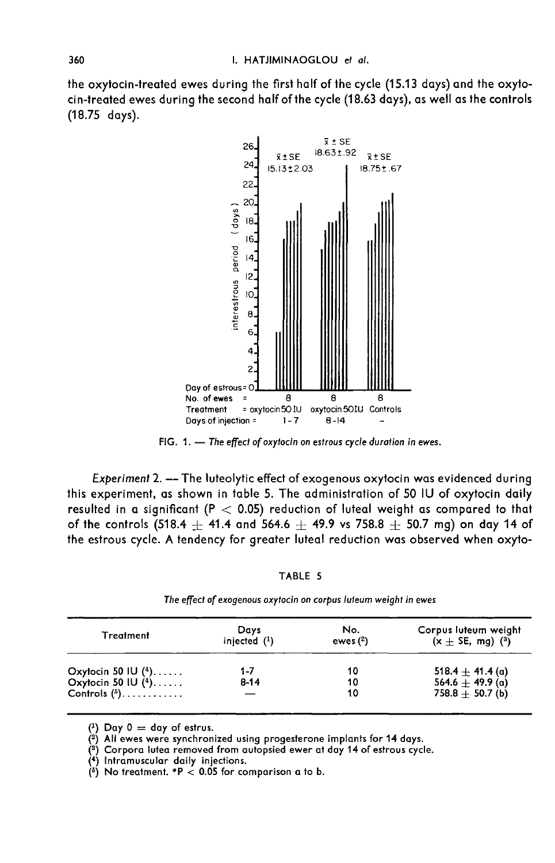the oxytocin-treated ewes during the first half of the cycle (15.13 days) and the oxytocin-treated ewes during the second half of the cycle (18.63 days), as well as the controls (18.75 days).



FIG. 1. - The effect of oxytocin on estrous cycle duration in ewes.

Experiment 2. - The luteolytic effect of exogenous oxytocin was evidenced during this experiment, as shown in table 5. The administration of 50 IU of oxytocin daily resulted in a significant ( $P < 0.05$ ) reduction of luteal weight as compared to that of the controls (518.4  $\pm$  41.4 and 564.6  $\pm$  49.9 vs 758.8  $\pm$  50.7 mg) on day 14 of the estrous cycle. A tendency for greater luteal reduction was observed when oxyto-

TABLE 5

| <b>Treatment</b>        | Days<br>injected $(1)$ | No.<br>ewes $(2)$ | Corpus luteum weight<br>$(x \pm \text{SE}, \text{mg})$ ( <sup>3</sup> ) |
|-------------------------|------------------------|-------------------|-------------------------------------------------------------------------|
| Oxytocin 50 IU $(4)$    | 1-7                    | 10                | 518.4 $\pm$ 41.4 (a)                                                    |
| Oxytocin 50 IU $(4)$    | $8 - 14$               | 10                | $564.6 + 49.9$ (a)                                                      |
| Controls $\binom{5}{2}$ |                        | 10                | $758.8 + 50.7$ (b)                                                      |

The effect of exogenous oxytocin on corpus luteum weight in ewes

 $(1)$  Day 0 = day of estrus.

(2) All ewes were synchronized using progesterone implants for 14 days.

(3) Corpora lutea removed from autopsied ewer at day 14 of estrous cycle.

(4) Intramuscular daily injections.

(5) No treatment. \*P  $<$  0.05 for comparison a to b.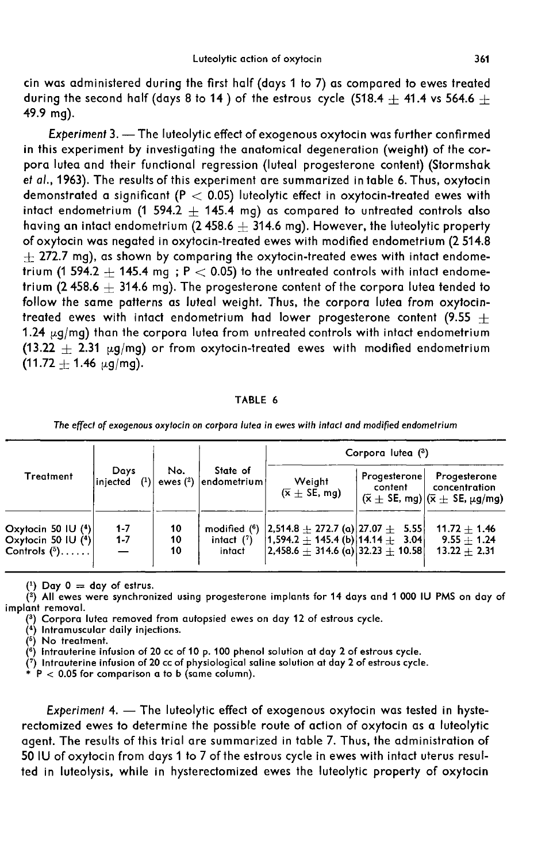cin was administered during the first half (days 1 to 7) as compared to ewes treated during the second half (days 8 to 14) of the estrous cycle (518.4  $+$  41.4 vs 564.6  $+$ 49.9 mg).

Experiment 3. - The luteolytic effect of exogenous oxytocin was further confirmed in this experiment by investigating the anatomical degeneration (weight) of the corpora lutea and their functional regression (luteal progesterone content) (Stormshak et al., 1963). The results of this experiment are summarized in table 6. Thus, oxytocin demonstrated a significant ( $P < 0.05$ ) luteolytic effect in oxytocin-treated ewes with intact endometrium (1 594.2  $\pm$  145.4 mg) as compared to untreated controls also having an intact endometrium (2 458.6  $\pm$  314.6 mg). However, the luteolytic property of oxytocin was negated in oxytocin-treated ewes with modified endometrium (2 514.8  $\pm$  272.7 mg), as shown by comparing the oxytocin-treated ewes with intact endometrium (1 594.2  $\pm$  145.4 mg; P  $<$  0.05) to the untreated controls with intact endometrium (2.458.6  $+$  314.6 mg). The progesterone content of the corpora lutea tended to follow the same patterns as luteal weight. Thus, the corpora lutea from oxytocintreated ewes with intact endometrium had lower progesterone content (9.55  $+$ 1.24  $\mu$ g/mg) than the corpora lutea from untreated controls with intact endometrium  $(13.22 + 2.31 \mu q/mq)$  or from oxytocin-treated ewes with modified endometrium  $(11.72 + 1.46 \mu g/mg).$ 

### TABLE 6

The effect of exogenous oxytocin on corpora lutea in ewes with intact and modified endometrium

|                                                                |                             |                |                                           | Corpora lutea (3)                                                                                                                        |                         |                                                                                                                    |  |
|----------------------------------------------------------------|-----------------------------|----------------|-------------------------------------------|------------------------------------------------------------------------------------------------------------------------------------------|-------------------------|--------------------------------------------------------------------------------------------------------------------|--|
| Treatment                                                      | Days<br>$(1)$ ,<br>injected | No.            | State of<br>ewes $(2)$  endometrium       | Weight<br>$(\bar{x} + \text{SE}, \text{mq})$                                                                                             | Progesterone<br>content | Progesterone<br>concentration<br>$(\bar{x} \pm \text{SE}, \text{mg})   (\bar{x} \pm \text{SE}, \mu g / \text{mg})$ |  |
| Oxytocin 50 IU $(4)$<br>Oxytocin 50 IU $(4)$<br>Controls $(5)$ | $1 - 7$<br>$1 - 7$          | 10<br>10<br>10 | modified $(^6)$<br>intact $(7)$<br>intact | $ 2,514.8 \pm 272.7$ (a) $ 27.07 \pm 5.55 $<br>$ 1,594.2 \pm 145.4$ (b) $ 14.14 \pm 3.04 $<br>$ 2,458.6 \pm 314.6$ (a) 32.23 $\pm$ 10.58 |                         | $11.72 + 1.46$<br>$9.55 + 1.24$<br>$13.22 + 2.31$                                                                  |  |

 $(1)$  Day  $0 = day$  of estrus.

(2) All ewes were synchronized using progesterone implants for 14 days and 1 000 IU PMS on day of implant removal.

(3) Corpora lutea removed from autopsied ewes on day 12 of estrous cycle.

(4) Intramuscular daily injections.

 $(5)$  No treatment.

 $\binom{6}{5}$  Intrauterine infusion of 20 cc of 10 p. 100 phenol solution at day 2 of estrous cycle.

(7) Intrauterine infusion of 20 cc of physiological saline solution at day 2 of estrous cycle.<br>\* P < 0.05 for comparison a to b (some saline solution at day 2 of estrous cycle.

 $P < 0.05$  for comparison a to b (same column).

Experiment 4. - The luteolytic effect of exogenous oxytocin was tested in hysterectomized ewes to determine the possible route of action of oxytocin as a luteolytic agent. The results of this trial are summarized in table 7. Thus, the administration of 50 IU of oxytocin from days 1 to 7 of the estrous cycle in ewes with intact uterus resulted in luteolysis, while in hysterectomized ewes the luteolytic property of oxytocin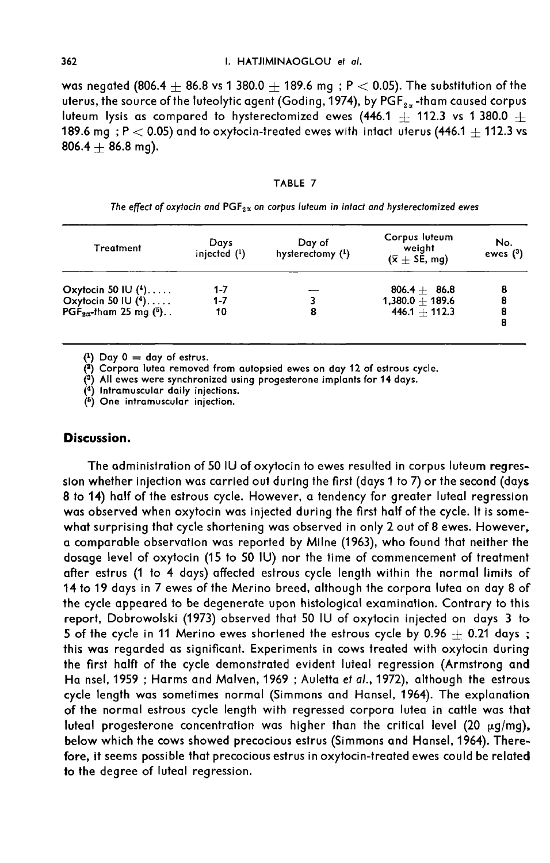was negated (806.4  $\pm$  86.8 vs 1 380.0  $\pm$  189.6 mg ; P  $<$  0.05). The substitution of the uterus, the source of the luteolytic agent (Goding, 1974), by PGF $_{\rm z \alpha}$  -tham caused corpus luteum lysis as compared to hysterectomized everythe infection of the directom sequence of the luteolytic agent (Goding, 1974), by PGF<sub>2x</sub>-tham caused corpus luteum lysis as compared to hysterectomized ewes (446.1  $\pm$  11 189.6 mg ; P  $<$  0.05) and to oxytocin-treated ewes with intact uterus (446.1  $\pm$  112.3 vs  $806.4 + 86.8$  mg).

### TABLE 7

The effect of oxytocin and  $PGF_{2\alpha}$  on corpus luteum in intact and hysterectomized ewes

| <b>Treatment</b>                                                 | Days<br>injected $(1)$ | Day of<br>hysterectomy $(1)$ | Corpus luteum<br>weight<br>$(\bar{x} + \text{SE}, \text{mq})$ | No.<br>ewes $(3)$ |
|------------------------------------------------------------------|------------------------|------------------------------|---------------------------------------------------------------|-------------------|
| Oxytocin 50 IU $(4)$                                             | 1-7                    |                              | $806.4 + 86.8$                                                |                   |
| Oxytocin 50 IU $(4)$                                             | $1 - 7$                |                              | $1,380.0 + 189.6$                                             |                   |
| PGF <sub>2<math>\alpha</math></sub> -tham 25 mg ( <sup>5</sup> ) | 10                     | 8                            | $446.1 + 112.3$                                               | 8<br>8            |

 $(1)$  Day  $0 = day$  of estrus.

(2) Corpora lutea removed from autopsied ewes on day 12 of estrous cycle.

 $\binom{3}{2}$  All ewes were synchronized using progesterone implants for 14 days.

(4) Intramuscular daily injections.

(5) One intramuscular injection.

## Discussion.

The administration of 50 IU of oxytocin to ewes resulted in corpus luteum regression whether injection was carried out during the first (days 1 to 7) or the second (days 8 to 14) half of the estrous cycle. However, a tendency for greater luteal regression was observed when oxytocin was injected during the first half of the cycle. It is somewhat surprising that cycle shortening was observed in only 2 out of 8 ewes. However, a comparable observation was reported by Milne (1963), who found that neither the dosage level of oxytocin (15 to 50 IU) nor the time of commencement of treatment after estrus (1 to 4 days) affected estrous cycle length within the normal limits of 14 to 19 days in 7 ewes of the Merino breed, although the corpora lutea on day 8 of the cycle appeared to be degenerate upon histological examination. Contrary to this report, Dobrowolski (1973) observed that 50 IU of oxytocin injected on days 3 to 5 of the cycle in 11 Merino ewes shortened the estrous cycle by 0.96  $\pm$  0.21 days; this was regarded as significant. Experiments in cows treated with oxytocin during the first halft of the cycle demonstrated evident luteal regression (Armstrong and Ha nsel, 1959 ; Harms and Malven, 1969 ; Auletta et al., 1972), although the estrous cycle length was sometimes normal (Simmons and Hansel, 1964). The explanation of the normal estrous cycle length with regressed corpora lutea in cattle was that luteal progesterone concentration was higher than the critical level (20  $\mu$ g/mg), below which the cows showed precocious estrus (Simmons and Hansel, 1964). Therefore, it seems possible that precocious estrus in oxytocin-treated ewes could be related to the degree of luteal regression.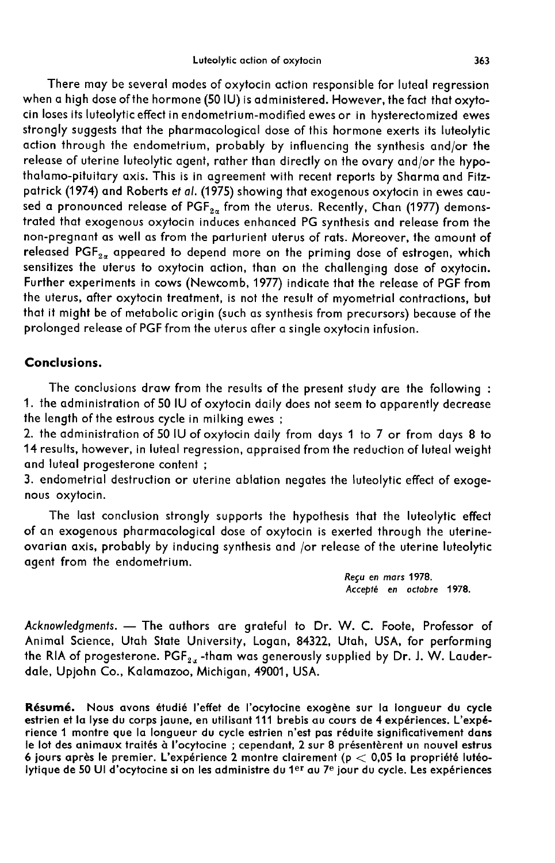There may be several modes of oxytocin action responsible for luteal regression when a high dose of the hormone (50 IU) is administered. However, the fact that oxytocin loses its luteolytic effect in endometrium-modified ewes or in hysterectomized ewes strongly suggests that the pharmacological dose of this hormone exerts its luteolytic action through the endometrium, probably by influencing the synthesis and/or the release of uterine luteolytic agent, rather than directly on the ovary and/or the hypothalamo-pituitary axis. This is in agreement with recent reports by Sharma and Fitzpatrick (1974) and Roberts et al. (1975) showing that exogenous oxytocin in ewes caused a pronounced release of  $PGF_{2\alpha}$  from the uterus. Recently, Chan (1977) demonstrated that exogenous oxytocin induces enhanced PG synthesis and release from the non-pregnant as well as from the parturient uterus of rats. Moreover, the amount of released  $PGF_{2\alpha}$  appeared to depend more on the priming dose of estrogen, which sensitizes the uterus to oxytocin action, than on the challenging dose of oxytocin. Further experiments in cows (Newcomb, 1977) indicate that the release of PGF from the uterus, after oxytocin treatment, is not the result of myometrial contractions, but that it might be of metabolic origin (such as synthesis from precursors) because of the prolonged release of PGF from the uterus after a single oxytocin infusion.

# Conclusions.

The conclusions draw from the results of the present study are the following : 1. the administration of 50 IU of oxytocin daily does not seem to apparently decrease the length of the estrous cycle in milking ewes;

2. the administration of 50 IU of oxytocin daily from days 1 to 7 or from days 8 to 14 results, however, in luteal regression, appraised from the reduction of luteal weight and luteal progesterone content ;

3. endometrial destruction or uterine ablation negates the luteolytic effect of exoge nous oxytocin.

The last conclusion strongly supports the hypothesis that the luteolytic effect of an exogenous pharmacological dose of oxytocin is exerted through the uterineovarian axis, probably by inducing synthesis and /or release of the uterine luteolytic agent from the endometrium.

> Reçu en mars 1978. Accept6 en octobre 1978.

Acknowledgments. - The authors are grateful to Dr. W. C. Foote, Professor of Animal Science, Utah State University, Logan, 84322, Utah, USA, for performing the RIA of progesterone. PGF<sub>2x</sub>-tham was generously supplied by Dr. J. W. Lauderdale, Upjohn Co., Kalamazoo, Michigan, 49001, USA.

Résumé. Nous avons étudié l'effet de l'ocytocine exogène sur la longueur du cycle estrien et la lyse du corps jaune, en utilisant 111 brebis au cours de 4 expériences. L'expérience 1 montre que la longueur du cycle estrien n'est pas réduite significativement dans le lot des animaux traités à l'ocytocine ; cependant, 2 sur 8 présentèrent un nouvel estrus 6 jours après le premier. L'expérience 2 montre clairement (p  $<$  0,05 la propriété lutéolytique de 50 Ul d'ocytocine si on les administre du 1<sup>er</sup> au 7<sup>e</sup> jour du cycle. Les expériences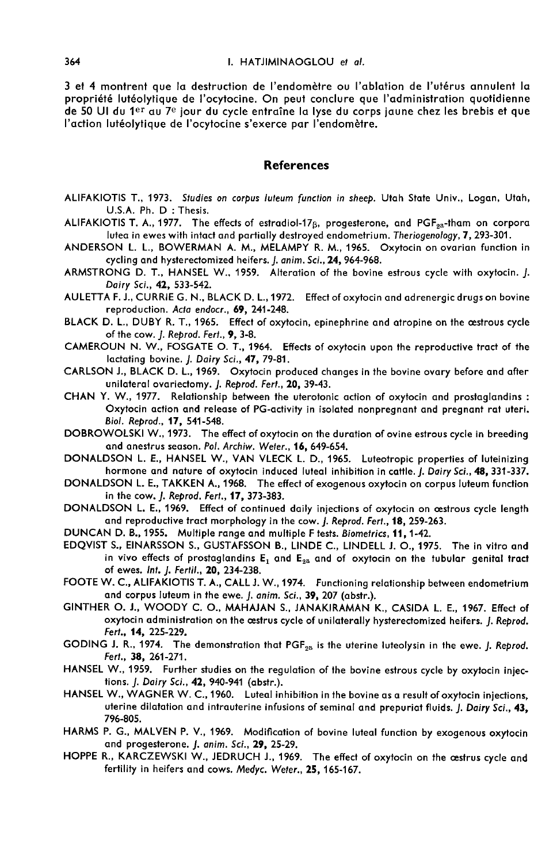3 et 4 montrent que la destruction de l'endomètre ou l'ablation de l'utérus annulent la propriété lutéolytique de l'ocytocine. On peut conclure que l'administration quotidienne de 50 Ul du 1<sup>er</sup> au 7<sup>e</sup> jour du cycle entraîne la lyse du corps jaune chez les brebis et que l'action lutéolytique de l'ocytocine s'exerce par l'endomètre.

### References

- ALIFAKIOTIS T., 1973. Studies on corpus luteum function in sheep. Utah State Univ., Logan, Utah, U.S.A. Ph. D : Thesis.
- ALIFAKIOTIS T. A., 1977. The effects of estradiol-17 $\beta$ , progesterone, and PGF<sub>2a</sub>-tham on corpora lutea in ewes with intact and partially destroyed endometrium. Theriogenology, 7, 293-301.
- ANDERSON L. L., BOWERMAN A. M., MELAMPY R. M., 1965. Oxytocin on ovarian function in cycling and hysterectomized heifers. J. anim. Sci., 24, 964-968.
- ARMSTRONG D. T., HANSEL W.. 1959. Alteration of the bovine estrous cycle with oxytocin. J. Dairy Sci., 42, 533-542.
- AULETTA F. J., CURRIE G. N., BLACK D. L.,1972. Effect of oxytocin and adrenergic drugs on bovine reproduction. Acta endocr., 69, 241-248.
- BLACK D. L., DUBY R. T., 1965. Effect of oxytocin, epinephrine and atropine on the oestrous cycle of the cow. *J. Reprod. Fert.*, 9, 3-8.
- CAMEROUN N. W., FOSGATE O. T., 1964. Effects of oxytocin upon the reproductive tract of the lactating bovine. J. Dairy Sci., 47, 79-81.
- CARLSON J., BLACK D. L., 1969. Oxytocin produced changes in the bovine ovary before and after unilateral ovariectomy. J. Reprod. Fert., 20, 39-43.
- CHAN Y. W., 1977. Relationship between the uterotonic action of oxytocin and prostaglandins : Oxytocin action and release of PG-activity in isolated nonpregnant and pregnant rat uteri. Biol. Reprod., 17, 541-548.
- DOBROWOLSKI W., 1973. The effect of oxytocin on the duration of ovine estrous cycle in breeding<br>and anestrus season. Pol. Archiw. Weter., 16, 649-654.
- DONALDSON L. E., HANSEL W., VAN VLECK L. D., 1965. Luteotropic properties of luteinizing hormone and nature of oxytocin induced luteal inhibition in cattle. J. Dairy Sci., 48, 331-337.
- DONALDSON L. E., TAKKEN A., 1968. The effect of exogenous oxytocin on corpus luteum function in the cow. J. Reprod. Fert., 17, 373-383.
- DONALDSON L. E., 1969. Effect of continued daily injections of oxytocin on œstrous cycle length and reproductive tract morphology in the cow. J. Reprod. Fert., 18, 259-263.
- DUNCAN D. B., 1955. Multiple range and multiple F tests. Biometrics, 11, 1-42.
- EDQVIST S., EINARSSON S., GUSTAFSSON B., LINDE C., LINDELL J. 0., 1975. The in vitro and in vivo effects of prostaglandins  $E_1$  and  $E_{2a}$  and of oxytocin on the tubular genital tract of ewes. lnt. J. Fertil., 20, 234-238.
- FOOTE W. C., ALIFAKIOTIS T. A., CALL J. W., 1974. Functioning relationship between endometrium and corpus luteum in the ewe. *J. anim. Sci.*, 39, 207 (abstr.).
- GINTHER O. J., WOODY C. O., MAHAJAN S., JANAKIRAMAN K., CASIDA L. E., 1967. Effect of oxytocin administration on the oestrus cycle of unilaterally hysterectomized heifers. J. Reprod. Fert., 14, 225-229.
- GODING J. R., 1974. The demonstration that PGF<sub>28</sub> is the uterine luteolysin in the ewe. J. Reprod. Fert., 38, 261-271.
- HANSEL W., 1959. Further studies on the regulation of the bovine estrous cycle by oxytocin injections. *J. Dairy Sci.*, 42, 940-941 (abstr.).
- HANSEL W., WAGNER W. C., 1960. Luteal inhibition in the bovine as a result of oxytocin injections, uterine dilatation and intrauterine infusions of seminal and prepuriat fluids. J. Dairy Sci., 43, 796-805.
- HARMS P. G., MALVEN P. V., 1969. Modification of bovine luteal function by exogenous oxytocin and progesterone. J. anim. Sci., 29, 25-29.
- HOPPE R., KARCZEWSKI W., JEDRUCH J., 1969. The effect of oxytocin on the cestrus cycle and fertility in heifers and cows. Medyc. Weter., 25, 165-167.